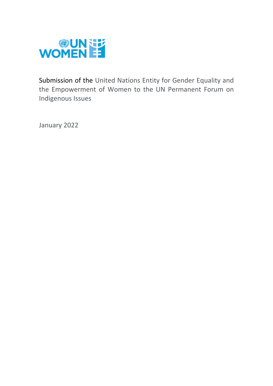

Submission of the United Nations Entity for Gender Equality and the Empowerment of Women to the UN Permanent Forum on Indigenous Issues

January 2022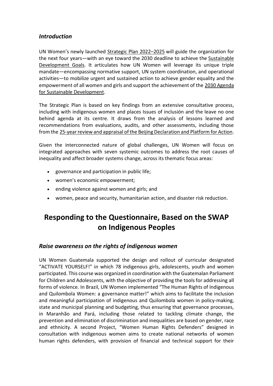### *Introduction*

UN Women's newly launched [Strategic Plan 2022](https://undocs.org/en/UNW/2021/6)–2025 will guide the organization for the next four years—with an eye toward the 2030 deadline to achieve the [Sustainable](https://www.unwomen.org/en/news/in-focus/women-and-the-sdgs)  [Development Goals.](https://www.unwomen.org/en/news/in-focus/women-and-the-sdgs) It articulates how UN Women will leverage its unique triple mandate—encompassing normative support, UN system coordination, and operational activities—to mobilize urgent and sustained action to achieve gender equality and the empowerment of all women and girls and support the achievement of the [2030 Agenda](https://www.unwomen.org/en/what-we-do/2030-agenda-for-sustainable-development)  [for Sustainable Development.](https://www.unwomen.org/en/what-we-do/2030-agenda-for-sustainable-development)

The Strategic Plan is based on key findings from an extensive consultative process, including with indigenous women and places Issues of inclusión and the leave no one behind agenda at its centre. It draws from the analysis of lessons learned and recommendations from evaluations, audits, and other assessments, including those from the [25-year review and appraisal of the Beijing Declaration and Platform for Action.](https://www.unwomen.org/en/csw/csw64-2020)

Given the interconnected nature of global challenges, UN Women will focus on integrated approaches with seven systemic outcomes to address the root causes of inequality and affect broader systems change, across its thematic focus areas:

- governance and participation in public life;
- women's economic empowerment;
- ending violence against women and girls; and
- women, peace and security, humanitarian action, and disaster risk reduction.

# **Responding to the Questionnaire, Based on the SWAP on Indigenous Peoples**

#### *Raise awareness on the rights of indigenous women*

UN Women Guatemala supported the design and rollout of curricular designated "ACTIVATE YOURSELF!" in which 78 indigenous girls, adolescents, youth and women participated. This course was organized in coordination with the Guatemalan Parliament for Children and Adolescents, with the objective of providing the tools for addressing all forms of violence. In Brazil, UN Women implemented "The Human Rights of Indigenous and Quilombola Women: a governance matter!" which aims to facilitate the inclusion and meaningful participation of indigenous and Quilombola women in policy-making, state and municipal planning and budgeting, thus ensuring that governance processes, in Maranhão and Pará, including those related to tackling climate change, the prevention and elimination of discrimination and inequalities are based on gender, race and ethnicity. A second Project, "Women Human Rights Defenders" designed in consultation with indigenous women aims to create national networks of women human rights defenders, with provision of financial and technical support for their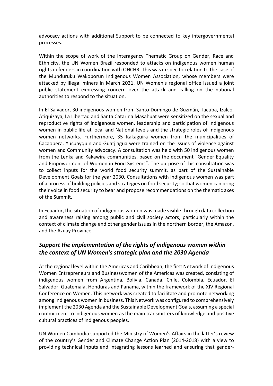advocacy actions with additional Support to be connected to key intergovernmental processes.

Within the scope of work of the Interagency Thematic Group on Gender, Race and Ethnicity, the UN Women Brazil responded to attacks on indigenous women human rights defenders in coordination with OHCHR. This was in specific relation to the case of the Munduruku Wakoborun Indigenous Women Association, whose members were attacked by illegal miners in March 2021. UN Women's regional office issued a joint public statement expressing concern over the attack and calling on the national authorities to respond to the situation.

In El Salvador, 30 indigenous women from Santo Domingo de Guzmán, Tacuba, Izalco, Atiquizaya, La Libertad and Santa Catarina Masahuat were sensitized on the sexual and reproductive rights of indigenous women, leadership and participation of Indigenous women in public life at local and National levels and the strategic roles of indigenous women networks. Furthermore, 35 Kakaguira women from the municipalities of Cacaopera, Yucuayquin and Guatjiagua were trained on the issues of violence against women and Community advocacy. A consultation was held with 50 indigenous women from the Lenka and Kakawira communities, based on the document "Gender Equality and Empowerment of Women in Food Systems". The purpose of this consultation was to collect inputs for the world food security summit, as part of the Sustainable Development Goals for the year 2030. Consultations with indigenous women was part of a process of building policies and strategies on food security; so that women can bring their voice in food security to bear and propose recommendations on the thematic axes of the Summit.

In Ecuador, the situation of indigenous women was made visible through data collection and awareness raising among public and civil society actors, particularly within the context of climate change and other gender issues in the northern border, the Amazon, and the Azuay Province.

## *Support the implementation of the rights of indigenous women within the context of UN Women's strategic plan and the 2030 Agenda*

At the regional level within the Americas and Caribbean, the first Network of Indigenous Women Entrepreneurs and Businesswomen of the Americas was created, consisting of indigenous women from Argentina, Bolivia, Canada, Chile, Colombia, Ecuador, El Salvador, Guatemala, Honduras and Panama, within the framework of the XIV Regional Conference on Women. This network was created to facilitate and promote networking among indigenous women in business. This Network was configured to comprehensively implement the 2030 Agenda and the Sustainable Development Goals, assuming a special commitment to indigenous women as the main transmitters of knowledge and positive cultural practices of indigenous peoples.

UN Women Cambodia supported the Ministry of Women's Affairs in the latter's review of the country's Gender and Climate Change Action Plan (2014-2018) with a view to providing technical inputs and integrating lessons learned and ensuring that gender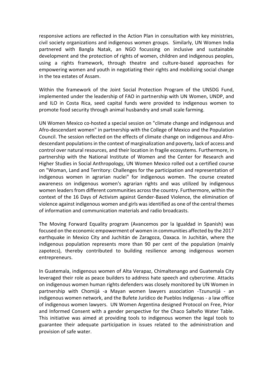responsive actions are reflected in the Action Plan in consultation with key ministries, civil society organizations and indigenous women groups. Similarly, UN Women India partnered with Bangla Natak, an NGO focussing on inclusive and sustainable development and the protection of rights of women, children and indigenous peoples, using a rights framework, through theatre and culture-based approaches for empowering women and youth in negotiating their rights and mobilizing social change in the tea estates of Assam.

Within the framework of the Joint Social Protection Program of the UNSDG Fund, implemented under the leadership of FAO in partnership with UN Women, UNDP, and and ILO in Costa Rica, seed capital funds were provided to indigenous women to promote food security through animal husbandry and small scale farming.

UN Women Mexico co-hosted a special session on "climate change and indigenous and Afro-descendant women" in partnership with the College of Mexico and the Population Council. The session reflected on the effects of climate change on indigenous and Afrodescendant populations in the context of marginalization and poverty, lack of access and control over natural resources, and their location in fragile ecosystems. Furthermore, in partnership with the National Institute of Women and the Center for Research and Higher Studies in Social Anthropology, UN Women Mexico rolled out a certified course on "Woman, Land and Territory: Challenges for the participation and representation of indigenous women in agrarian nuclei" for indigenous women. The course created awareness on indigenous women's agrarian rights and was utilized by indigenous women leaders from different communities across the country. Furthermore, within the context of the 16 Days of Activism against Gender-Based Violence, the elimination of violence against indigenous women and girls was identified as one of the central themes of information and communication materials and radio broadcasts.

The Moving Forward Equality program (Avancemos por la Igualdad in Spanish) was focused on the economic empowerment of women in communities affected by the 2017 earthquake in Mexico City and Juchitán de Zaragoza, Oaxaca. In Juchitán, where the indigenous population represents more than 90 per cent of the population (mainly zapotecs), thereby contributed to building resilience among indigenous women entrepreneurs.

In Guatemala, indigenous women of Alta Verapaz, Chimaltenango and Guatemala City leveraged their role as peace builders to address hate speech and cybercrime. Attacks on indigenous women human rights defenders was closely monitored by UN Women in partnership with Chomijá -a Mayan women lawyers association -Tzununijá - an indigenous women network, and the Bufete Jurídico de Pueblos Indígenas - a law office of indigenous women lawyers. UN Women Argentina designed Protocol on Free, Prior and Informed Consent with a gender perspective for the Chaco Salteño Water Table. This initiative was aimed at providing tools to indigenous women the legal tools to guarantee their adequate participation in issues related to the administration and provision of safe water.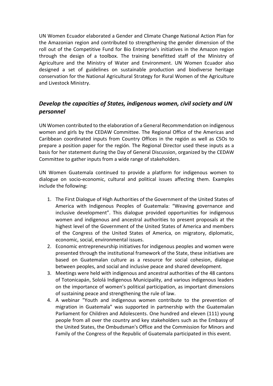UN Women Ecuador elaborated a Gender and Climate Change National Action Plan for the Amazonian region and contributed to strengthening the gender dimension of the roll out of the Competitive Fund for Bio Enterprise's initiatives in the Amazon region through the design of a toolbox. The training benefitted staff of the Ministry of Agriculture and the Ministry of Water and Environment. UN Women Ecuador also designed a set of guidelines on sustainable production and biodiverse heritage conservation for the National Agricultural Strategy for Rural Women of the Agriculture and Livestock Ministry.

# *Develop the capacities of States, indigenous women, civil society and UN personnel*

UN Women contributed to the elaboration of a General Recommendation on indigenous women and girls by the CEDAW Committee. The Regional Office of the Americas and Caribbean coordinated inputs from Country Offices in the región as well as CSOs to prepare a position paper for the región. The Regional Director used these inputs as a basis for her statement during the Day of General Discussion, organized by the CEDAW Committee to gather inputs from a wide range of stakeholders.

UN Women Guatemala continued to provide a platform for indigenous women to dialogue on socio-economic, cultural and political issues affecting them. Examples include the following:

- 1. The First Dialogue of High Authorities of the Government of the United States of America with Indigenous Peoples of Guatemala: "Weaving governance and inclusive development". This dialogue provided opportunities for indigenous women and indigenous and ancestral authorities to present proposals at the highest level of the Government of the United States of America and members of the Congress of the United States of America, on migratory, diplomatic, economic, social, environmental issues.
- 2. Economic entrepreneurship initiatives for indigenous peoples and women were presented through the institutional framework of the State, these initiatives are based on Guatemalan culture as a resource for social cohesion, dialogue between peoples, and social and inclusive peace and shared development.
- 3. Meetings were held with indigenous and ancestral authorities of the 48 cantons of Totonicapán, Sololá Indigenous Municipality, and various indigenous leaders on the importance of women's political participation, as important dimensions of sustaining peace and strengthening the rule of law.
- 4. A webinar "Youth and indigenous women contribute to the prevention of migration in Guatemala" was supported in partnership with the Guatemalan Parliament for Children and Adolescents. One hundred and eleven (111) young people from all over the country and key stakeholders such as the Embassy of the United States, the Ombudsman's Office and the Commission for Minors and Family of the Congress of the Republic of Guatemala participated in this event.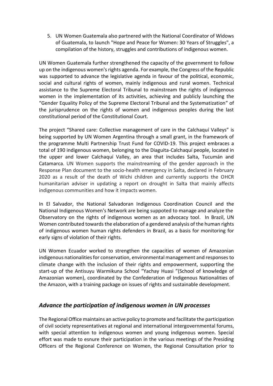5. UN Women Guatemala also partnered with the National Coordinator of Widows of Guatemala, to launch "Hope and Peace for Women: 30 Years of Struggles", a compilation of the history, struggles and contributions of indigenous women.

UN Women Guatemala further strengthened the capacity of the government to follow up on the indigenous women's rights agenda. For example, the Congress of the Republic was supported to advance the legislative agenda in favour of the political, economic, social and cultural rights of women, mainly indigenous and rural women. Technical assistance to the Supreme Electoral Tribunal to mainstream the rights of indigenous women in the implementation of its activities, achieving and publicly launching the "Gender Equality Policy of the Supreme Electoral Tribunal and the Systematization" of the jurisprudence on the rights of women and indigenous peoples during the last constitutional period of the Constitutional Court.

The project "Shared care: Collective management of care in the Calchaquí Valleys" is being supported by UN Women Argentina through a small grant, in the framework of the programme Multi Partnership Trust Fund for COVID-19. This project embraces a total of 190 indigenous women, belonging to the Diaguita-Calchaquí people, located in the upper and lower Calchaquí Valley, an area that includes Salta, Tucumán and Catamarca. UN Women supports the mainstreaming of the gender approach in the Response Plan document to the socio-health emergency in Salta, declared in February 2020 as a result of the death of Wichi children and currently supports the OHCR humanitarian adviser in updating a report on drought in Salta that mainly affects indigenous communities and how it impacts women.

In El Salvador, the National Salvadoran Indigenous Coordination Council and the National Indigenous Women's Network are being suppoted to manage and analyze the Observatory on the rights of indigenous women as an advocacy tool. In Brazil, UN Women contributed towards the elaboration of a gendered analysis of the human rights of indigenous women human rights defenders in Brazil, as a basis for monitoring for early signs of violation of their rights.

UN Women Ecuador worked to strengthen the capacities of women of Amazonian indigenous nationalities for conservation, environmental management and responses to climate change with the inclusion of their rights and empowerment, supporting the start-up of the Antisuyu Warmikuna School "Yachay Huasi "(School of knowledge of Amazonian women), coordinated by the Confederation of Indigenous Nationalities of the Amazon, with a training package on issues of rights and sustainable development.

#### *Advance the participation of indigenous women in UN processes*

The Regional Office maintains an active policy to promote and facilitate the participation of civil society representatives at regional and international intergovernmental forums, with special attention to indigenous women and young indigenous women. Special effort was made to esnure their participation in the various meetings of the Presiding Officers of the Regional Conference on Women, the Regional Consultation prior to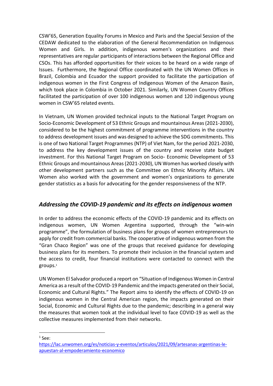CSW'65, Generation Equality Forums in Mexico and Paris and the Special Session of the CEDAW dedicated to the elaboration of the General Recommendation on Indigenous Women and Girls. In addition, indigenous women's organizations and their representatives are regular participants of interactions between the Regional Office and CSOs. This has afforded opportunities for their voices to be heard on a wide range of Issues. Furthermore, the Regional Office coordinated with the UN Women Offices in Brazil, Colombia and Ecuador the support provided to facilitate the participation of indigenous women in the First Congress of Indigenous Women of the Amazon Basin, which took place in Colombia in October 2021. Similarly, UN Women Country Offices facilitated the participation of over 100 indigenous women and 120 indigenous young women in CSW'65 related events.

In Vietnam, UN Women provided technical inputs to the National Target Program on Socio-Economic Development of 53 Ethnic Groups and mountainous Areas (2021-2030), considered to be the highest commitment of programme interventions in the country to address development issues and was designed to achieve the SDG commitments. This is one of two National Target Programmes (NTP) of Viet Nam, for the period 2021-2030, to address the key development issues of the country and receive state budget investment. For this National Target Program on Socio- Economic Development of 53 Ethnic Groups and mountainous Areas (2021-2030), UN Women has worked closely with other development partners such as the Committee on Ethnic Minority Affairs. UN Women also worked with the government and women's organizations to generate gender statistics as a basis for advocating for the gender responsiveness of the NTP.

## *Addressing the COVID-19 pandemic and its effects on indigenous women*

In order to address the economic effects of the COVID-19 pandemic and its effects on indigenous women, UN Women Argentina supported, through the "win-win programme", the formulation of business plans for groups of women entrepreneurs to apply for credit from commercial banks. The cooperative of indigenous women from the "Gran Chaco Region" was one of the groups that received guidance for developing business plans for its members. To promote their inclusion in the financial system and the access to credit, four financial institutions were contacted to connect with the groups. 1

UN Women El Salvador produced a report on "Situation of Indigenous Women in Central America as a result of the COVID-19 Pandemic and the impacts generated on their Social, Economic and Cultural Rights." The Report aims to identify the effects of COVID-19 on indigenous women in the Central American region, the impacts generated on their Social, Economic and Cultural Rights due to the pandemic; describing in a general way the measures that women took at the individual level to face COVID-19 as well as the collective measures implemented from their networks.

 $1$  See:

[https://lac.unwomen.org/es/noticias-y-eventos/articulos/2021/09/artesanas-argentinas-le](https://lac.unwomen.org/es/noticias-y-eventos/articulos/2021/09/artesanas-argentinas-le-apuestan-al-empoderamiento-economico)[apuestan-al-empoderamiento-economico](https://lac.unwomen.org/es/noticias-y-eventos/articulos/2021/09/artesanas-argentinas-le-apuestan-al-empoderamiento-economico)